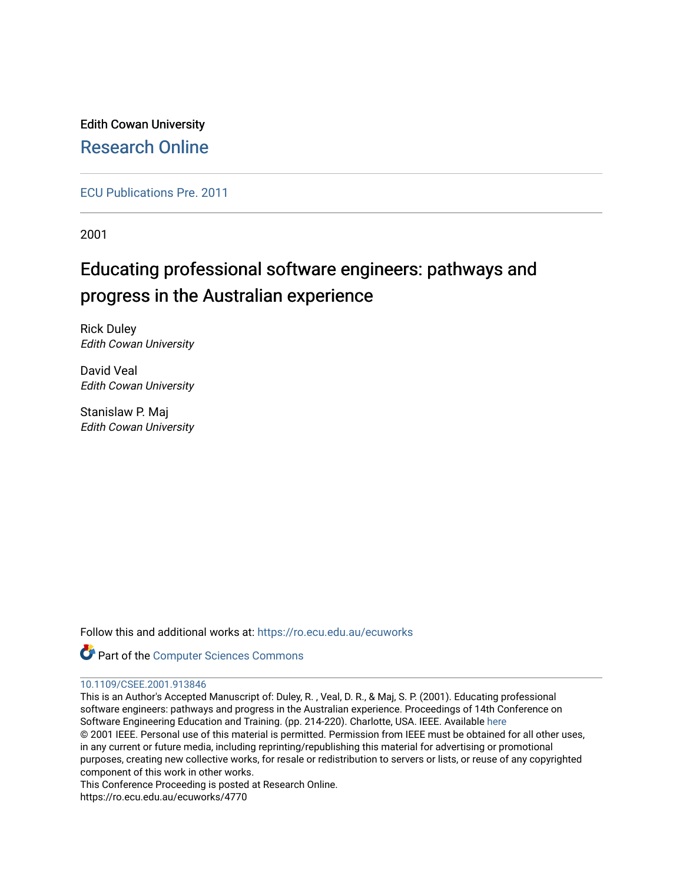Edith Cowan University [Research Online](https://ro.ecu.edu.au/) 

[ECU Publications Pre. 2011](https://ro.ecu.edu.au/ecuworks)

2001

# Educating professional software engineers: pathways and progress in the Australian experience

Rick Duley Edith Cowan University

David Veal Edith Cowan University

Stanislaw P. Maj Edith Cowan University

Follow this and additional works at: [https://ro.ecu.edu.au/ecuworks](https://ro.ecu.edu.au/ecuworks?utm_source=ro.ecu.edu.au%2Fecuworks%2F4770&utm_medium=PDF&utm_campaign=PDFCoverPages) 



# [10.1109/CSEE.2001.913846](http://dx.doi.org/10.1109/CSEE.2001.913846)

This is an Author's Accepted Manuscript of: Duley, R. , Veal, D. R., & Maj, S. P. (2001). Educating professional software engineers: pathways and progress in the Australian experience. Proceedings of 14th Conference on Software Engineering Education and Training. (pp. 214-220). Charlotte, USA. IEEE. Available [here](http://dx.doi.org/10.1109/CSEE.2001.913846) © 2001 IEEE. Personal use of this material is permitted. Permission from IEEE must be obtained for all other uses, in any current or future media, including reprinting/republishing this material for advertising or promotional purposes, creating new collective works, for resale or redistribution to servers or lists, or reuse of any copyrighted component of this work in other works.

This Conference Proceeding is posted at Research Online.

https://ro.ecu.edu.au/ecuworks/4770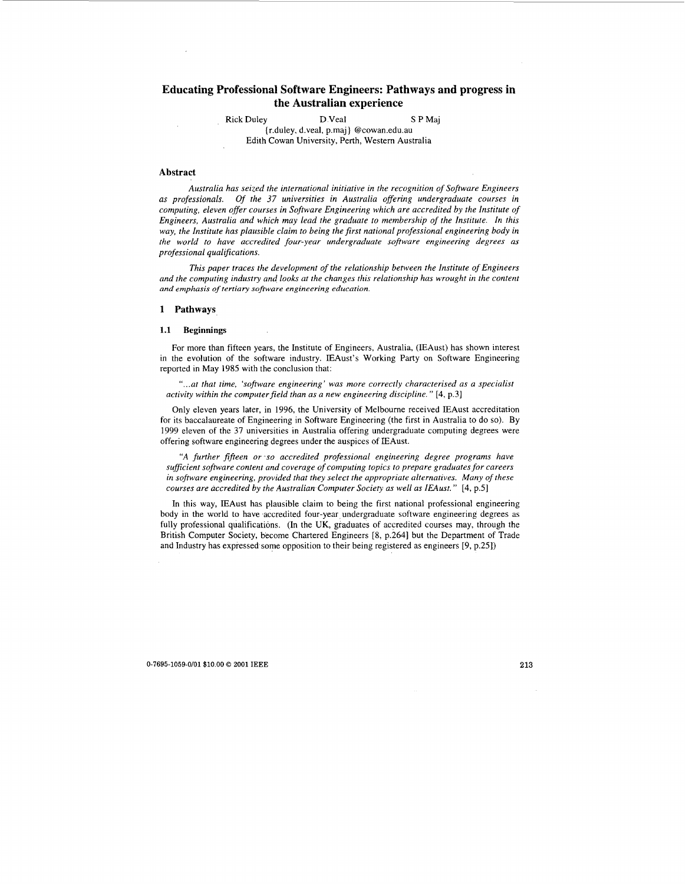# **Educating Professional Software Engineers: Pathways and progress in the Australian experience**

Rick Duley D Veal **S** P Maj

(r.duley, d.veal, p.maj ) @cowan.edu.au Edith Cowan University, Perth, Westem Australia

## **Abstract**

*Australia has seized the international initiative in the recognition of Sofnyare Engineers as professionals, Of the 37 universities in Australia offering undergraduate courses in computing, eleven offer courses in Software Engineering which are accredited by the Institute of Engineers, Australia and which may lead the graduate to membership of the Institute. In this way, the Institute has plausible claim to being the first national professional engineering body in the world to have accredited four-year undergraduate sofrwure engineering degrees as professional qualifications.* 

*This paper traces the development of the relationship between the Institute of Engineers and the computing industry and looks at the changes this relationship has wrought in the content and emphasis of tertiary software engineering education.* 

#### **1 Pathways**

#### **1.1 Beginnings**

For more than fifteen years, the Institute of Engineers, Australia, (IEAust) has shown interest in the evolution of the software industry. IEAust's Working Party on Software Engineering reported in May 1985 with the conclusion that:

*"...at that time, 'software engineering' was more correctly characterised as a specialist activity within the computer field than as a new engineering discipline.*" [4, p.3]

Only eleven years later, in 1996, the University of Melboume received IEAust accreditation for its baccalaureate of Engineering in Software Engineering (the first in Australia to do so). By 1999 eleven of the 37 universities in Australia offering undergraduate computing degrees were offering software engineering degrees under the auspices of IEAust.

*"A further fifteen or* 'so *accredited professional engineering degree programs have suficient software content and coverage of computing topics to prepare graduates for careers in software engineering, provided that they select the appropriate alternatives. Many of these courses are accredited by the Australian-Computer Sociery as well as IEAust.* " [4, p.51

In this way, IEAust has plausible claim to being the first national professional engineering body in the world to have accredited four-year undergraduate software engineering degrees as fully professional qualifications. (In the UK, graduates of accredited courses may, through the British Computer Society, become Chartered Engineers **[8,** p.2641 but the Department of Trade and Industry has expressed some opposition to their being registered as engineers [9, p.251)

**0-7695-1059-0/01 \$0.00** *0* **2001 IEEE 213**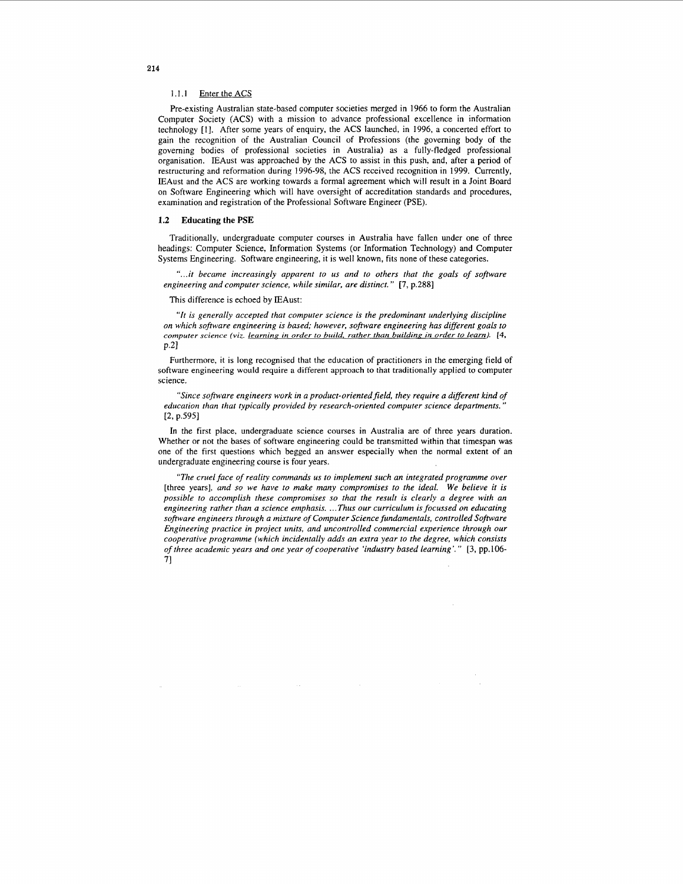#### 1.1.1 Enter the ACS

Pre-existing Australian state-based computer societies merged in 1966 to form the Australian Computer Society (ACS) with a mission to advance professional excellence in information technology [I]. After some years of enquiry, the ACS launched, in 1996, a concerted effort to gain the recognition of the Australian Council of Professions (the governing body of the governing bodies of professional societies in Australia) as a fully-fledged professional organisation. IEAust was approached by the ACS to assist in this push, and, after a period of restructuring and reformation during 1996-98, the ACS received recognition in 1999. Currently, IEAust and the ACS are working towards a formal agreement which will result in a Joint Board on Software Engineering which will have oversight of accreditation standards and procedures, examination and registration of the Professional Software Engineer (PSE).

#### **1.2 Educating the PSE**

Traditionally, undergraduate computer courses in Australia have fallen under one of three headings: Computer Science, Information Systems (or Information Technology) and Computer Systems Engineering. Software engineering, it is well known, fits none of these categories.

"...it became increasingly apparent to us and to others that the goals of software *engineering and computer science, while similar, are distinct.* " *[7,* p.2881

This difference is echoed by IEAust:

*"It is generally accepted that computer science is the predominant underlying discipline on which software engineering is based; however, software engineering has different goals to computer science (viz. learning in order to build, rather than building in order to learn).* [4, p.2]

Furthermore, it is long recognised that the education of practitioners in the emerging field of software engineering would require **a** different approach to that traditionally applied to computer science.

*"Since software engineers work in a product-orientedfield, they require a different kind of education than that typically provided by research-oriented computer science departments."*   $[2, p.595]$ 

In the first place, undergraduate science courses in Australia are of three years duration. Whether or not the bases of software engineering could be transmitted within that timespan was one of the first questions which begged an answer especially when the normal extent of an undergraduate engineering course is four years.

*"The cruel face of reality commands us to implement such an integrated programme over*  [three years], *and* so *we have to make many compromises to the ideal. We believe it is possible to accomplish these compromises so that the result is clearly a degree with an engineering rather than a science emphasis.* ... *Thus our curriculum is focussed on educating software engineers through a mixture of Computer Science fundamentals, controlled Software Engineering practice in project units, and uncontrolled commercial experience through our cooperative programme (which incidentally adds an extra year to the degree, which consists of three academic years and one year of cooperative 'industry based learning'.* " *[3,* pp.106- **71**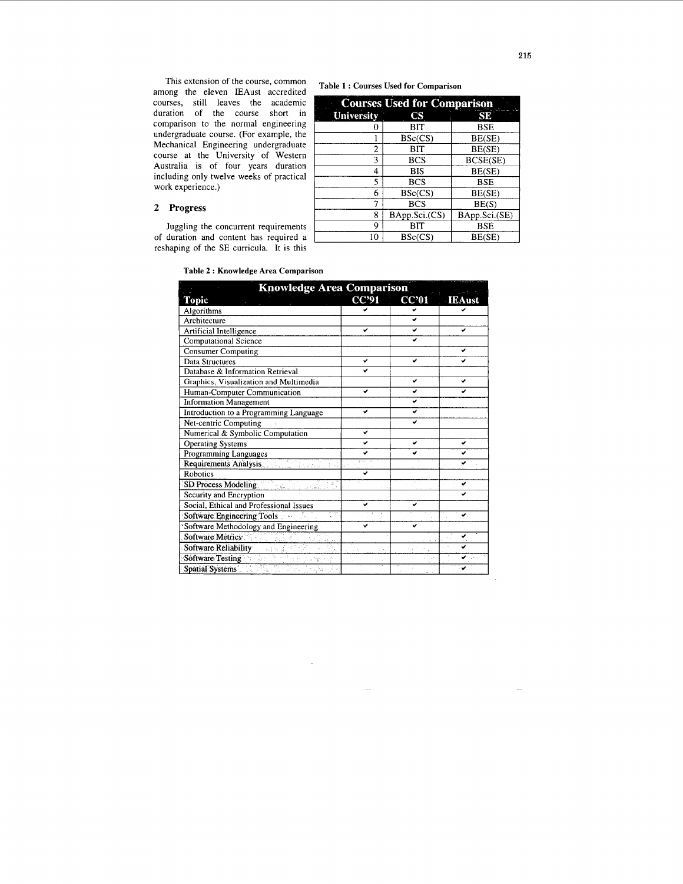<span id="page-3-0"></span>This extension of the course, common among the eleven IEAust accredited courses, still leaves the academic duration of the course short in comparison to the normal engineering undergraduate course. (For example, the Mechanical Engineering undergraduate course at the University of Western Australia is of four years duration including only twelve weeks of practical work experience.)

## **2 Progress**

Juggling the concurrent requirements **of** duration and content has required a reshaping of the SE curricula. It is this

**Table 1** : **Courses Used for Comparison** 

| <b>Courses Used for Comparison</b> |               |               |  |  |
|------------------------------------|---------------|---------------|--|--|
| University                         | CS            | SE            |  |  |
| 0                                  | ВIТ           | <b>BSE</b>    |  |  |
|                                    | BSc(CS)       | BE(SE)        |  |  |
| 2                                  | BIT           | BE(SE)        |  |  |
| 3                                  | <b>BCS</b>    | BCSE(SE)      |  |  |
| 4                                  | <b>BIS</b>    | BE(SE)        |  |  |
| 5                                  | <b>BCS</b>    | <b>BSE</b>    |  |  |
| 6                                  | BSc(CS)       | BE(SE)        |  |  |
| 7                                  | <b>BCS</b>    | BE(S)         |  |  |
| 8                                  | BApp.Sci.(CS) | BApp.Sci.(SE) |  |  |
| 9                                  | BIT           | <b>BSE</b>    |  |  |
| 10                                 | BSc(CS)       | BE(SE)        |  |  |

**Table 2** : **Knowledge Area Comparison** 

| <b>Knowledge Area Comparison</b>                   |              |                  |               |  |
|----------------------------------------------------|--------------|------------------|---------------|--|
| <b>Topic</b>                                       | <b>CC'91</b> | CC <sub>01</sub> | <b>IEAust</b> |  |
| Algorithms                                         |              |                  |               |  |
| Architecture                                       |              |                  |               |  |
| Artificial Intelligence                            | ◡            | ✓                | v             |  |
| Computational Science                              |              |                  |               |  |
| <b>Consumer Computing</b>                          |              |                  | ✔             |  |
| Data Structures                                    | v            | ✔                | ◡             |  |
| Database & Information Retrieval                   | پ            |                  |               |  |
| Graphics, Visualization and Multimedia             |              | v                | v             |  |
| Human-Computer Communication                       | ں            | ں                |               |  |
| <b>Information Management</b>                      |              | پ                |               |  |
| Introduction to a Programming Language             | ✔            | ں                |               |  |
| Net-centric Computing                              |              |                  |               |  |
| Numerical & Symbolic Computation                   | v            |                  |               |  |
| <b>Operating Systems</b>                           | پ            | ں                | v             |  |
| Programming Languages                              |              |                  |               |  |
| <b>Requirements Analysis Requirements Analysis</b> |              |                  | ✔             |  |
| <b>Robotics</b>                                    | ں            |                  |               |  |
| SD Process Modeling<br>남주 대학 대회                    |              |                  | ✓             |  |
| Security and Encryption                            |              |                  |               |  |
| Social, Ethical and Professional Issues            | v            | ◡                |               |  |
| <b>Software Engineering Tools</b>                  |              |                  | v.            |  |
| Software Methodology and Engineering               | ✓            | ں                |               |  |
| Software Metrics                                   |              |                  |               |  |
| Software Reliability<br>动物品                        |              |                  |               |  |
| Software Testing                                   |              |                  |               |  |
| Spatial Systems 2009 Proceed of                    |              |                  |               |  |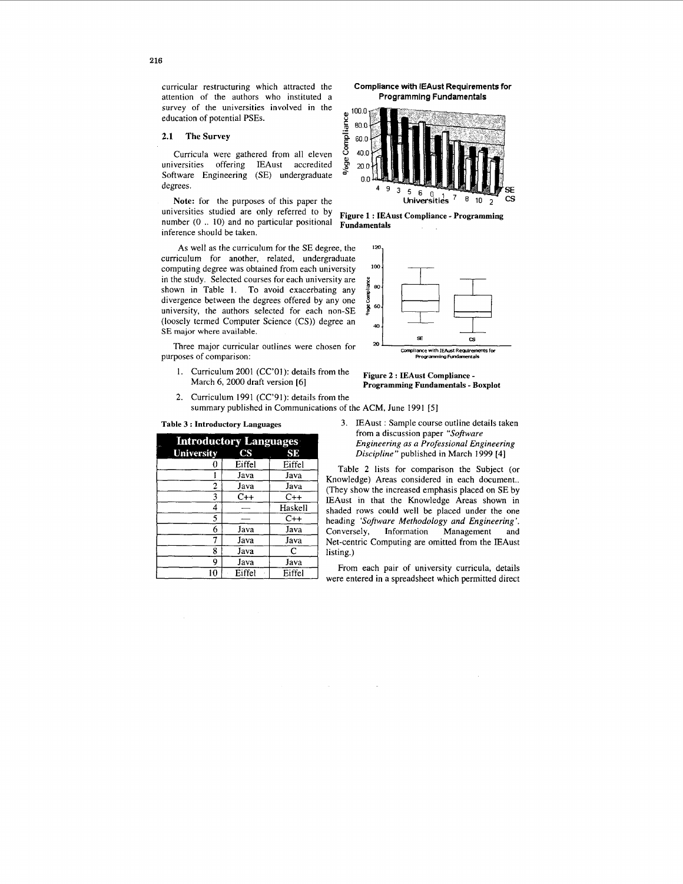curricular restructuring which attracted the attention of the authors who instituted a survey of the universities involved in the education of potential PSEs.

## 2.1 The Survey

Curricula were gathered from all eleven universities offering IEAust accredited Software Engineering (SE) undergraduate degrees.

Note: for the purposes of this paper the universities studied are only referred to by number (0 .. 10) and no particular positional inference should be taken.

As well as the curriculum for the SE degree, the curriculum for another, related, undergraduate computing degree was obtained from each university in the study. Selected courses for each university are shown in Table 1. To avoid exacerbating any divergence between the degrees offered by any one university, the authors selected for each non-SE (loosely termed Computer Science (CS)) degree an SE major where available.

Three major curricular outlines were chosen for purposes of comparison:

- $1.$ Curriculum 2001 (CC'01): details from the March 6, 2000 draft version [6]
- $2.$ Curriculum 1991 (CC'91): details from the

Table 3: Introductory Languages

| <b>Introductory Languages</b> |                        |         |  |  |  |
|-------------------------------|------------------------|---------|--|--|--|
| <b>University</b>             | $\overline{\text{CS}}$ | SE      |  |  |  |
|                               | Eiffel                 | Eiffel  |  |  |  |
|                               | Java                   | Java    |  |  |  |
| 2                             | Java                   | Java    |  |  |  |
| 3                             | $C++$                  | $C++$   |  |  |  |
| 4                             |                        | Haskell |  |  |  |
| 5                             |                        | $C++$   |  |  |  |
| 6                             | Java                   | Java    |  |  |  |
| 7                             | Java                   | Java    |  |  |  |
| 8                             | Java                   | C       |  |  |  |
| 9                             | Java                   | Java    |  |  |  |
| 10                            | Eiffel                 | Eiffel  |  |  |  |

**Compliance with IEAust Requirements for** Programming Fundamentals



Figure 1 : IEAust Compliance - Programming Fundamentals



Figure 2 : IEAust Compliance -Programming Fundamentals - Boxplot

summary published in Communications of the ACM, June 1991 [5]

3. IEAust: Sample course outline details taken from a discussion paper "Software Engineering as a Professional Engineering Discipline" published in March 1999 [4]

Table 2 lists for comparison the Subject (or Knowledge) Areas considered in each document.. (They show the increased emphasis placed on SE by IEAust in that the Knowledge Areas shown in shaded rows could well be placed under the one heading 'Software Methodology and Engineering'. Conversely, Information Management and Net-centric Computing are omitted from the IEAust listing.)

From each pair of university curricula, details were entered in a spreadsheet which permitted direct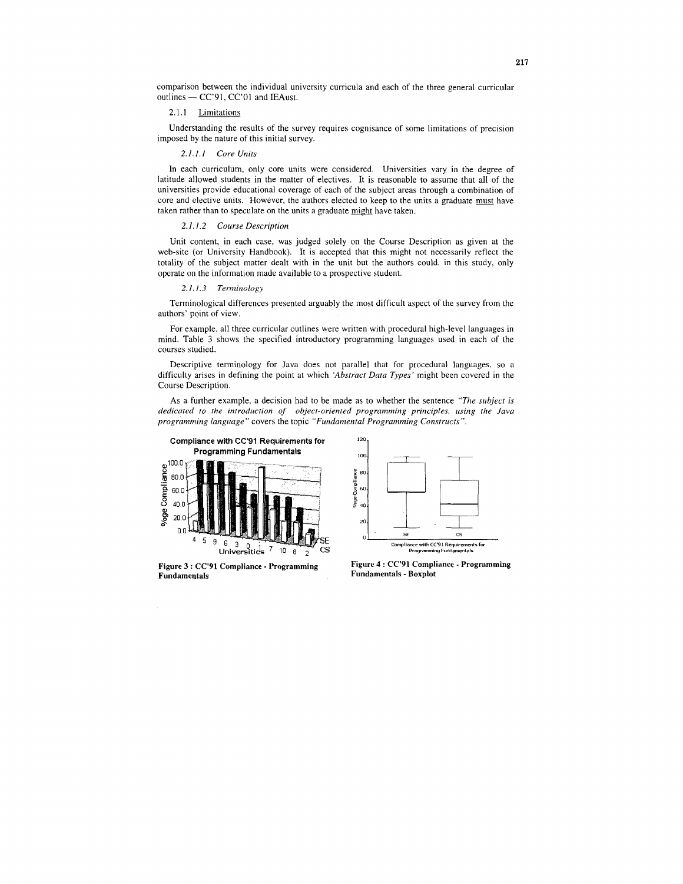<span id="page-5-0"></span>comparison between the individual university curricula and each of the three general curricular comparison between the individual un<br>outlines — CC'91, CC'01 and IEAust.

#### 2.1.1 Limitations

Understanding the results of the survey requires cognisance of some limitations of precision imposed by the nature of this initial survey

#### *2.1 I I Core Units*

In each curriculum, only core units were considered. Universities vary in the degree of latitude allowed students in the matter of electives. It is reasonable to assume that all of the universities provide educational coverage of each of the subject areas through a combination of core and elective units. However, the authors elected to keep to the units a graduate must have taken rather than to speculate on the units a graduate might have taken.

#### *2.1.1* 2 *Course Description*

Unit content, in each case, was judged solely on the Course Description as given at the web-site (or University Handbook). It is accepted that this might not necessarily reflect the totality of the subject matter dealt with in the unit but the authors could, in this study, only operate on the information made available to **a** prospective student.

#### 2 *1.1.3 Terminology*

Terminological differences presented arguably the most difficult aspect of the survey from the authors' point of view

For example, all three curricular outlines were written with procedural high-level languages in mind. Table 3 shows the specified introductory programming languages used in each of the courses studied

Descriptive terminology for Java does not parallel that for procedural languages, so a difficulty arises in defining the point at which *'Abstract Data Types'* might been covered in the Course Description

**As a** further example, a decision had to be made as to whether the sentence *"The subject is dedicated to the introduction of object-oriented programming principles, using the Java programming language"* covers the topic "Fundamental Programming Constructs".



**Figure 3** : **CC'91 Compliance** - **Programming** 



**Fundamentals Fundamentals** - **Boxplot Figure 4** : **CC'91 Compliance** - **Programming**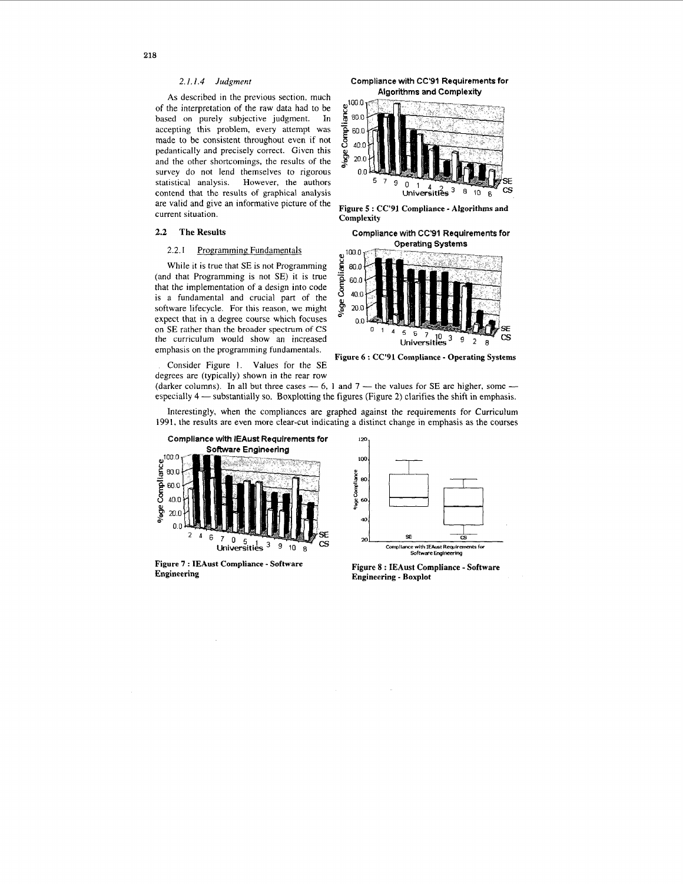### 2.1.1.4 Judgment

<span id="page-6-0"></span>As described in the previous section, much of the interpretation of the raw data had to be based on purely subjective judgment. In accepting this problem, every attempt was made to be consistent throughout even if not pedantically and precisely correct. Given this and the other shortcomings, the results of the survey do not lend themselves to rigorous statistical analysis. However, the authors contend that the results of graphical analysis are valid and give an informative picture of the current situation.

#### $2.2\,$ The Results

#### $2.2.1$ **Programming Fundamentals**

While it is true that SE is not Programming (and that Programming is not SE) it is true that the implementation of a design into code is a fundamental and crucial part of the software lifecycle. For this reason, we might expect that in a degree course which focuses on SE rather than the broader spectrum of CS the curriculum would show an increased emphasis on the programming fundamentals.

Consider Figure 1. Values for the SE degrees are (typically) shown in the rear row

Compliance with CC'91 Requirements for **Algorithms and Complexity** 



Figure 5 : CC'91 Compliance - Algorithms and Complexity

Compliance with CC'91 Requirements for

**Operating Systems** 



Figure 6: CC'91 Compliance - Operating Systems

(darker columns). In all but three cases  $-6$ , 1 and 7 - the values for SE are higher, some  $$ especially 4 — substantially so. Boxplotting the figures (Figure 2) clarifies the shift in emphasis.

Interestingly, when the compliances are graphed against the requirements for Curriculum 1991, the results are even more clear-cut indicating a distinct change in emphasis as the courses



Figure 7 : IEAust Compliance - Software Engineering



Figure 8 : IEAust Compliance - Software **Engineering - Boxplot**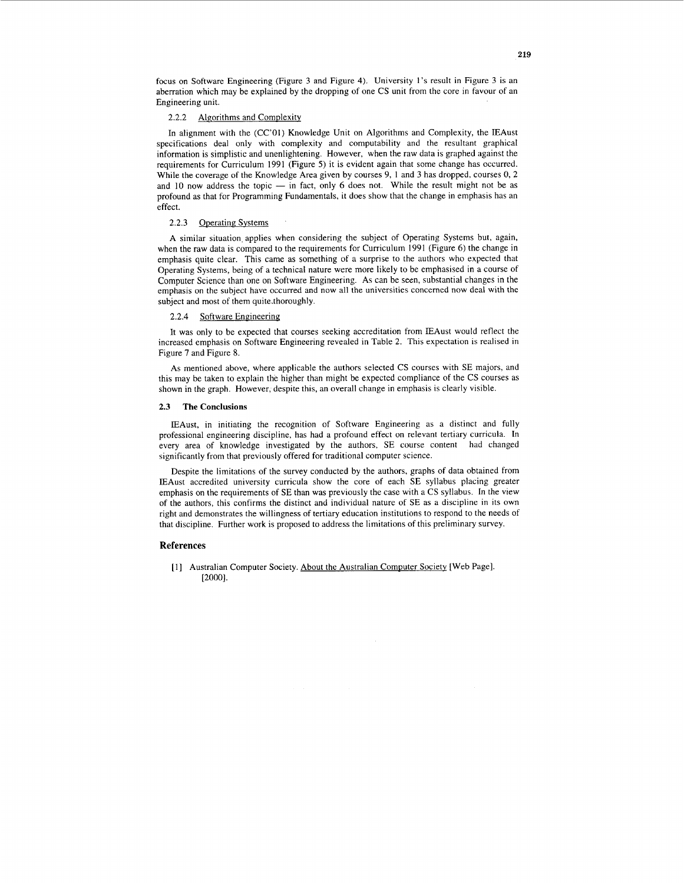focus on Software Engineering [\(Figure 3](#page-5-0) and Figure **4).** University 1's result in [Figure 3](#page-5-0) is an aberration which may be explained by the dropping of one CS unit from the core in favour of an Engineering unit.

#### 2.2.2 Algorithms and Complexity

In alignment with the (CC'OI) Knowledge Unit on Algorithms and Complexity, the IEAust specifications deal only with complexity and computability and the resultant graphical information is simplistic and unenlightening. However, when the raw data is graphed against the requirements for Curriculum 1991 (Figure *5)* it is evident again that some change has occurred. requirements for Curriculum 1991 (Figure 5) it is evident again that some change has occurred.<br>While the coverage of the Knowledge Area given by courses 9, 1 and 3 has dropped, courses 0, 2<br>and 10 now address the topic  $\sim$ profound as that for Programming Fundamentals, it does show that the change in emphasis has an effect.

#### 2.2.3 Operating Systems

A similar situation, applies when considering the subject of Operating Systems but, again, when the raw data is compared to the requirements for Curriculum 1991 (Figure 6) the change in emphasis quite clear. This came as something of a surprise to the authors who expected that Operating Systems, being of a technical nature were more likely to be emphasised in a course of Computer Science than one on Software Engineering. As can be seen, substantial changes in the emphasis on the subject have occurred and now all the universities concemed now deal with the subject and most of them quite.thoroughly.

#### 2.2.4 Software Engineering

It was only to be expected that courses seeking accreditation from EAust would reflect the increased emphasis on Software Engineering revealed in [Table 2.](#page-3-0) This expectation is realised in [Figure](#page-6-0) **7** and [Figure 8.](#page-6-0)

As mentioned above, where applicable the authors selected CS courses with SE majors, and this may be taken to explain the higher than might be expected compliance of the CS courses as shown in the graph. However, despite this, an overall change in emphasis is clearly visible.

#### **2.3 The Conclusions**

IEAust, in initiating the recognition of Software Engineering as a distinct and fully professional engineering discipline, has had a profound effect on relevant tertiary curricula. In every area of knowledge investigated by the authors, SE course content had changed significantly from that previously offered for traditional computer science.

Despite the limitations of the survey conducted by the authors, graphs of data obtained from IEAust accredited university curricula show the core of each SE syllabus placing greater emphasis on the requirements of SE than was previously the case with a CS syllabus. In the view of the authors, this confirms the distinct and individual nature of SE as a discipline in its own right and demonstrates the willingness of tertiary education institutions to respond to the needs of that discipline. Further work is proposed to address the limitations of this preliminary survey.

#### **References**

[1] Australian Computer Society. About the Australian Computer Society [Web Page]. *[2000].*